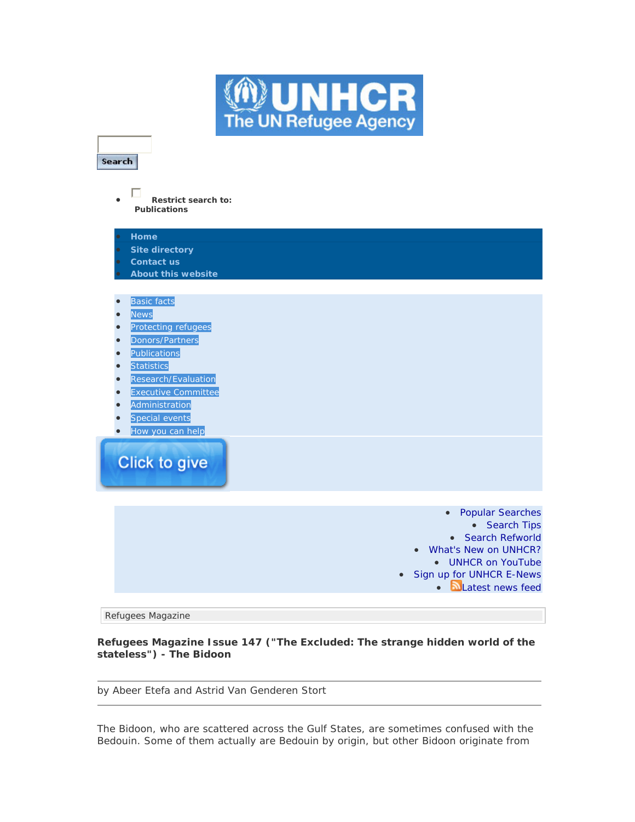

Search

• **Restrict search to: Publications** 

| b | Home                       |                                                                          |
|---|----------------------------|--------------------------------------------------------------------------|
| ۰ | <b>Site directory</b>      |                                                                          |
| ۰ | <b>Contact us</b>          |                                                                          |
|   | <b>About this website</b>  |                                                                          |
|   |                            |                                                                          |
|   | <b>Basic facts</b>         |                                                                          |
|   | <b>News</b>                |                                                                          |
|   | Protecting refugees        |                                                                          |
|   | Donors/Partners            |                                                                          |
|   | Publications               |                                                                          |
|   | <b>Statistics</b>          |                                                                          |
|   | Research/Evaluation        |                                                                          |
|   | <b>Executive Committee</b> |                                                                          |
|   | Administration             |                                                                          |
|   | Special events             |                                                                          |
|   | How you can help           |                                                                          |
|   | Click to give              |                                                                          |
|   |                            |                                                                          |
|   |                            | <b>Popular Searches</b><br>$\bullet$                                     |
|   |                            | <b>Search Tips</b><br>$\bullet$                                          |
|   |                            | <b>Search Refworld</b><br>$\bullet$<br>What's New on UNHCR?<br>$\bullet$ |
|   |                            | <b>UNHCR on YouTube</b><br>$\bullet$                                     |
|   | $\bullet$                  | Sign up for UNHCR E-News                                                 |
|   |                            | <b>N</b> Latest news feed                                                |
|   |                            |                                                                          |

Refugees Magazine

**Refugees Magazine Issue 147 ("The Excluded: The strange hidden world of the stateless") - The Bidoon**

by Abeer Etefa and Astrid Van Genderen Stort

The Bidoon, who are scattered across the Gulf States, are sometimes confused with the Bedouin. Some of them actually are Bedouin by origin, but other Bidoon originate from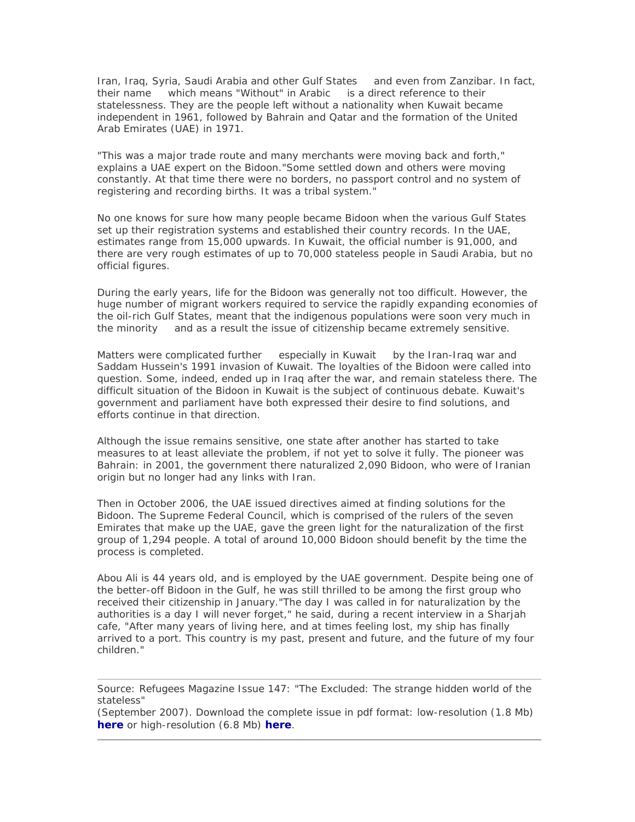Iran, Iraq, Syria, Saudi Arabia and other Gulf States and even from Zanzibar. In fact, their name which means "Without" in Arabic is a direct reference to their statelessness. They are the people left without a nationality when Kuwait became independent in 1961, followed by Bahrain and Qatar and the formation of the United Arab Emirates (UAE) in 1971.

"This was a major trade route and many merchants were moving back and forth," explains a UAE expert on the Bidoon."Some settled down and others were moving constantly. At that time there were no borders, no passport control and no system of registering and recording births. It was a tribal system."

No one knows for sure how many people became Bidoon when the various Gulf States set up their registration systems and established their country records. In the UAE, estimates range from 15,000 upwards. In Kuwait, the official number is 91,000, and there are very rough estimates of up to 70,000 stateless people in Saudi Arabia, but no official figures.

During the early years, life for the Bidoon was generally not too difficult. However, the huge number of migrant workers required to service the rapidly expanding economies of the oil-rich Gulf States, meant that the indigenous populations were soon very much in the minority and as a result the issue of citizenship became extremely sensitive.

Matters were complicated further especially in Kuwait by the Iran-Iraq war and Saddam Hussein's 1991 invasion of Kuwait. The loyalties of the Bidoon were called into question. Some, indeed, ended up in Iraq after the war, and remain stateless there. The difficult situation of the Bidoon in Kuwait is the subject of continuous debate. Kuwait's government and parliament have both expressed their desire to find solutions, and efforts continue in that direction.

Although the issue remains sensitive, one state after another has started to take measures to at least alleviate the problem, if not yet to solve it fully. The pioneer was Bahrain: in 2001, the government there naturalized 2,090 Bidoon, who were of Iranian origin but no longer had any links with Iran.

Then in October 2006, the UAE issued directives aimed at finding solutions for the Bidoon. The Supreme Federal Council, which is comprised of the rulers of the seven Emirates that make up the UAE, gave the green light for the naturalization of the first group of 1,294 people. A total of around 10,000 Bidoon should benefit by the time the process is completed.

Abou Ali is 44 years old, and is employed by the UAE government. Despite being one of the better-off Bidoon in the Gulf, he was still thrilled to be among the first group who received their citizenship in January."The day I was called in for naturalization by the authorities is a day I will never forget," he said, during a recent interview in a Sharjah cafe, "After many years of living here, and at times feeling lost, my ship has finally arrived to a port. This country is my past, present and future, and the future of my four children."

Source: *Refugees* Magazine Issue 147: "The Excluded: The strange hidden world of the stateless"

(September 2007). Download the complete issue in pdf format: low-resolution (1.8 Mb) **here** or high-resolution (6.8 Mb) **here**.